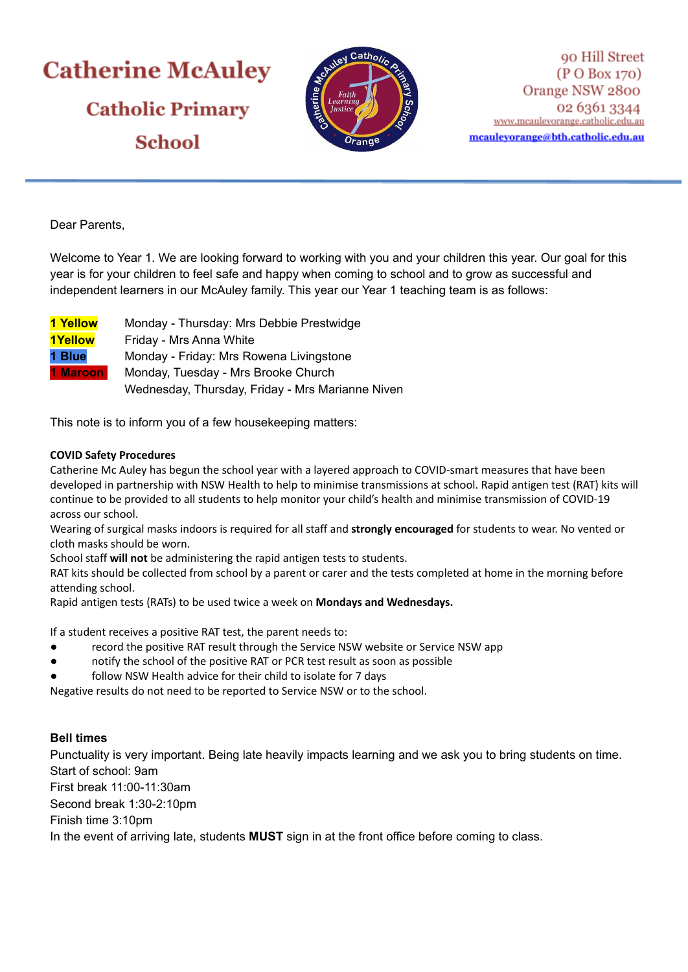# **Catherine McAuley Catholic Primary School**



90 Hill Street (P O Box 170) Orange NSW 2800 02 6361 3344 www.mcauleyorange.catholic.edu.au mcauleyorange@bth.catholic.edu.au

Dear Parents,

Welcome to Year 1. We are looking forward to working with you and your children this year. Our goal for this year is for your children to feel safe and happy when coming to school and to grow as successful and independent learners in our McAuley family. This year our Year 1 teaching team is as follows:

| 1 Yellow        | Monday - Thursday: Mrs Debbie Prestwidge         |
|-----------------|--------------------------------------------------|
| <b>1Yellow</b>  | Friday - Mrs Anna White                          |
| 1 Blue          | Monday - Friday: Mrs Rowena Livingstone          |
| <b>1 Maroon</b> | Monday, Tuesday - Mrs Brooke Church              |
|                 | Wednesday, Thursday, Friday - Mrs Marianne Niven |

This note is to inform you of a few housekeeping matters:

## **COVID Safety Procedures**

Catherine Mc Auley has begun the school year with a layered approach to COVID-smart measures that have been developed in partnership with NSW Health to help to minimise transmissions at school. Rapid antigen test (RAT) kits will continue to be provided to all students to help monitor your child's health and minimise transmission of COVID-19 across our school.

Wearing of surgical masks indoors is required for all staff and **strongly encouraged** for students to wear. No vented or cloth masks should be worn.

School staff **will not** be administering the rapid antigen tests to students.

RAT kits should be collected from school by a parent or carer and the tests completed at home in the morning before attending school.

Rapid antigen tests (RATs) to be used twice a week on **Mondays and Wednesdays.**

If a student receives a positive RAT test, the parent needs to:

- record the positive RAT result through the Service NSW website or Service NSW app
- notify the school of the positive RAT or PCR test result as soon as possible
- follow NSW Health advice for their child to isolate for 7 days

Negative results do not need to be reported to Service NSW or to the school.

# **Bell times**

Punctuality is very important. Being late heavily impacts learning and we ask you to bring students on time. Start of school: 9am

First break 11:00-11:30am

Second break 1:30-2:10pm

Finish time 3:10pm

In the event of arriving late, students **MUST** sign in at the front office before coming to class.